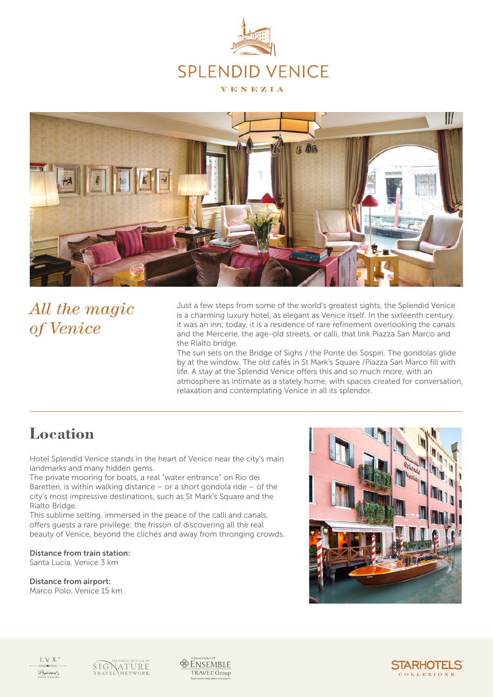



# *All the magic of Venice*

Just a few steps from some of the world's greatest sights, the Splendid Venice is a charming luxury hotel, as elegant as Venice itself. In the sixteenth century, it was an inn; today, it is a residence of rare refinement overlooking the canals and the Mercerie, the age-old streets, or calli, that link Piazza San Marco and the Rialto bridge.

The sun sets on the Bridge of Sighs / the Ponte dei Sospiri. The gondolas glide by at the window. The old cafés in St Mark's Square /Piazza San Marco fill with life. A stay at the Splendid Venice offers this and so much more, with an atmosphere as intimate as a stately home, with spaces created for conversation, relaxation and contemplating Venice in all its splendor.

### **Location**

Hotel Splendid Venice stands in the heart of Venice near the city's main landmarks and many hidden gems.

The private mooring for boats, a real "water entrance" on Rio dei Baretteri, is within walking distance – or a short gondola ride – of the city's most impressive destinations, such as St Mark's Square and the Rialto Bridge.

This sublime setting, immersed in the peace of the calli and canals, offers guests a rare privilege: the frisson of discovering all the real beauty of Venice, beyond the clichés and away from thronging crowds.

Distance from train station: Santa Lucia, Venice 3 km

Distance from airport: Marco Polo, Venice 15 km





VATURE **SIG**